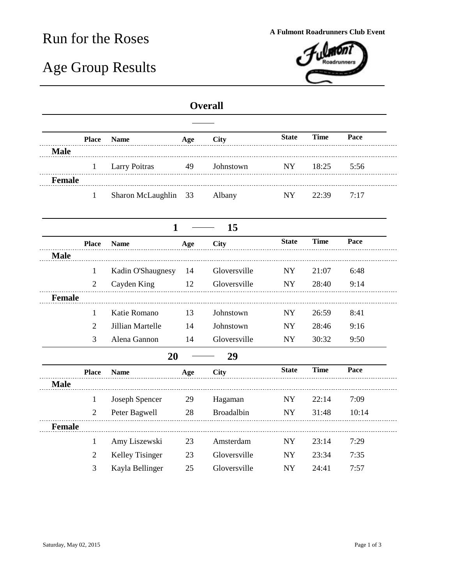## Run for the Roses **A Fulmont Roadrunners Club Event**

## Age Group Results



## **Overall**

|               | <b>Place</b>   | <b>Name</b>          | Age | <b>City</b>       | <b>State</b> | <b>Time</b> | Pace  |
|---------------|----------------|----------------------|-----|-------------------|--------------|-------------|-------|
| <b>Male</b>   |                |                      |     |                   |              |             |       |
|               | 1              | <b>Larry Poitras</b> | 49  | Johnstown         | <b>NY</b>    | 18:25       | 5:56  |
| <b>Female</b> |                |                      |     |                   |              |             |       |
|               | 1              | Sharon McLaughlin    | 33  | Albany            | <b>NY</b>    | 22:39       | 7:17  |
|               |                | $\mathbf{1}$         |     | 15                |              |             |       |
|               | <b>Place</b>   | <b>Name</b>          | Age | <b>City</b>       | <b>State</b> | <b>Time</b> | Pace  |
| <b>Male</b>   |                |                      |     |                   |              |             |       |
|               | 1              | Kadin O'Shaugnesy    | 14  | Gloversville      | <b>NY</b>    | 21:07       | 6:48  |
|               | $\overline{2}$ | Cayden King          | 12  | Gloversville      | <b>NY</b>    | 28:40       | 9:14  |
| <b>Female</b> |                |                      |     |                   |              |             |       |
|               | 1              | Katie Romano         | 13  | Johnstown         | <b>NY</b>    | 26:59       | 8:41  |
|               | 2              | Jillian Martelle     | 14  | Johnstown         | <b>NY</b>    | 28:46       | 9:16  |
|               | 3              | Alena Gannon         | 14  | Gloversville      | ${\rm NY}$   | 30:32       | 9:50  |
|               |                | 20                   |     | 29                |              |             |       |
|               | <b>Place</b>   | <b>Name</b>          | Age | <b>City</b>       | <b>State</b> | <b>Time</b> | Pace  |
| <b>Male</b>   |                |                      |     |                   |              |             |       |
|               | $\mathbf{1}$   | Joseph Spencer       | 29  | Hagaman           | <b>NY</b>    | 22:14       | 7:09  |
|               | $\overline{2}$ | Peter Bagwell        | 28  | <b>Broadalbin</b> | <b>NY</b>    | 31:48       | 10:14 |
| <b>Female</b> |                |                      |     |                   |              |             |       |
|               | $\mathbf{1}$   | Amy Liszewski        | 23  | Amsterdam         | <b>NY</b>    | 23:14       | 7:29  |
|               | 2              | Kelley Tisinger      | 23  | Gloversville      | <b>NY</b>    | 23:34       | 7:35  |
|               | 3              | Kayla Bellinger      | 25  | Gloversville      | ${\rm NY}$   | 24:41       | 7:57  |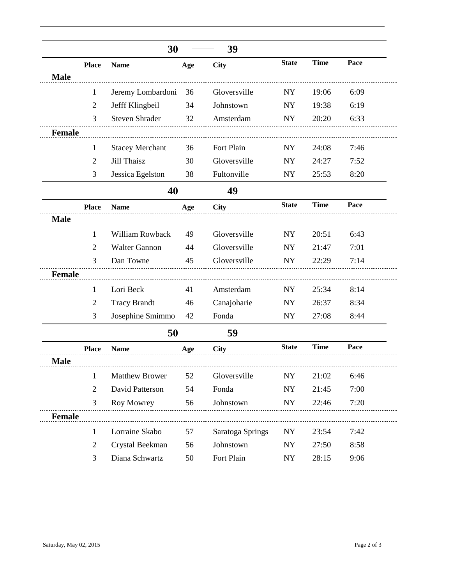|               |                | 30                     |     | 39               |              |             |      |
|---------------|----------------|------------------------|-----|------------------|--------------|-------------|------|
|               | <b>Place</b>   | <b>Name</b>            | Age | <b>City</b>      | <b>State</b> | <b>Time</b> | Pace |
| <b>Male</b>   |                |                        |     |                  |              |             |      |
|               | $\mathbf{1}$   | Jeremy Lombardoni      | 36  | Gloversville     | <b>NY</b>    | 19:06       | 6:09 |
|               | $\overline{2}$ | Jefff Klingbeil        | 34  | Johnstown        | NY           | 19:38       | 6:19 |
|               | 3              | <b>Steven Shrader</b>  | 32  | Amsterdam        | <b>NY</b>    | 20:20       | 6:33 |
| <b>Female</b> |                |                        |     |                  |              |             |      |
|               | 1              | <b>Stacey Merchant</b> | 36  | Fort Plain       | <b>NY</b>    | 24:08       | 7:46 |
|               | $\overline{2}$ | Jill Thaisz            | 30  | Gloversville     | <b>NY</b>    | 24:27       | 7:52 |
|               | 3              | Jessica Egelston       | 38  | Fultonville      | <b>NY</b>    | 25:53       | 8:20 |
|               |                | 40                     |     | 49               |              |             |      |
|               | <b>Place</b>   | <b>Name</b>            | Age | <b>City</b>      | <b>State</b> | <b>Time</b> | Pace |
| <b>Male</b>   |                |                        |     |                  |              |             |      |
|               | 1              | William Rowback        | 49  | Gloversville     | <b>NY</b>    | 20:51       | 6:43 |
|               | $\overline{2}$ | <b>Walter Gannon</b>   | 44  | Gloversville     | <b>NY</b>    | 21:47       | 7:01 |
|               | 3              | Dan Towne              | 45  | Gloversville     | NY           | 22:29       | 7:14 |
| <b>Female</b> |                |                        |     |                  |              |             |      |
|               | 1              | Lori Beck              | 41  | Amsterdam        | <b>NY</b>    | 25:34       | 8:14 |
|               | 2              | <b>Tracy Brandt</b>    | 46  | Canajoharie      | <b>NY</b>    | 26:37       | 8:34 |
|               | 3              | Josephine Smimmo       | 42  | Fonda            | <b>NY</b>    | 27:08       | 8:44 |
|               |                | 50                     |     | 59               |              |             |      |
|               | <b>Place</b>   | <b>Name</b>            | Age | <b>City</b>      | <b>State</b> | <b>Time</b> | Pace |
| <b>Male</b>   |                |                        |     |                  |              |             |      |
|               | $\mathbf{1}$   | <b>Matthew Brower</b>  | 52  | Gloversville     | NY           | 21:02       | 6:46 |
|               | $\overline{2}$ | David Patterson        | 54  | Fonda            | NY           | 21:45       | 7:00 |
|               | 3              | Roy Mowrey             | 56  | Johnstown        | NY           | 22:46       | 7:20 |
| Female        |                |                        |     |                  |              |             |      |
|               | $\mathbf{1}$   | Lorraine Skabo         | 57  | Saratoga Springs | <b>NY</b>    | 23:54       | 7:42 |
|               | $\overline{2}$ | Crystal Beekman        | 56  | Johnstown        | <b>NY</b>    | 27:50       | 8:58 |
|               | 3              | Diana Schwartz         | 50  | Fort Plain       | ${\rm NY}$   | 28:15       | 9:06 |